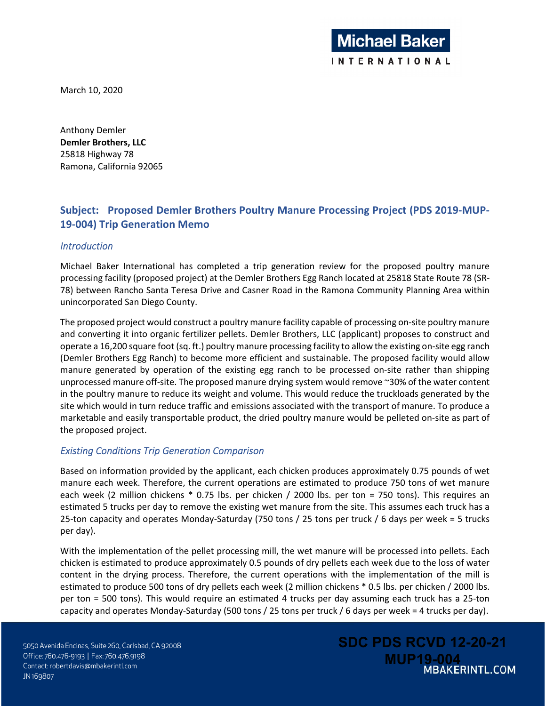March 10, 2020

Anthony Demler **Demler Brothers, LLC**  25818 Highway 78 Ramona, California 92065

# **Subject: Proposed Demler Brothers Poultry Manure Processing Project (PDS 2019-MUP-19-004) Trip Generation Memo**

## *Introduction*

Michael Baker International has completed a trip generation review for the proposed poultry manure processing facility (proposed project) at the Demler Brothers Egg Ranch located at 25818 State Route 78 (SR-78) between Rancho Santa Teresa Drive and Casner Road in the Ramona Community Planning Area within unincorporated San Diego County.

The proposed project would construct a poultry manure facility capable of processing on-site poultry manure and converting it into organic fertilizer pellets. Demler Brothers, LLC (applicant) proposes to construct and operate a 16,200 square foot (sq. ft.) poultry manure processing facility to allow the existing on-site egg ranch (Demler Brothers Egg Ranch) to become more efficient and sustainable. The proposed facility would allow manure generated by operation of the existing egg ranch to be processed on-site rather than shipping unprocessed manure off-site. The proposed manure drying system would remove ~30% of the water content in the poultry manure to reduce its weight and volume. This would reduce the truckloads generated by the site which would in turn reduce traffic and emissions associated with the transport of manure. To produce a marketable and easily transportable product, the dried poultry manure would be pelleted on-site as part of the proposed project.

# *Existing Conditions Trip Generation Comparison*

Based on information provided by the applicant, each chicken produces approximately 0.75 pounds of wet manure each week. Therefore, the current operations are estimated to produce 750 tons of wet manure each week (2 million chickens \* 0.75 lbs. per chicken / 2000 lbs. per ton = 750 tons). This requires an estimated 5 trucks per day to remove the existing wet manure from the site. This assumes each truck has a 25-ton capacity and operates Monday-Saturday (750 tons / 25 tons per truck / 6 days per week = 5 trucks per day).

With the implementation of the pellet processing mill, the wet manure will be processed into pellets. Each chicken is estimated to produce approximately 0.5 pounds of dry pellets each week due to the loss of water content in the drying process. Therefore, the current operations with the implementation of the mill is estimated to produce 500 tons of dry pellets each week (2 million chickens \* 0.5 lbs. per chicken / 2000 lbs. per ton = 500 tons). This would require an estimated 4 trucks per day assuming each truck has a 25-ton capacity and operates Monday-Saturday (500 tons / 25 tons per truck / 6 days per week = 4 trucks per day).

5050 Avenida Encinas, Suite 260, Carlsbad, CA 92008 Office: 760.476-9193 | Fax: 760.476.9198 Contact: robertdavis@mbakerintl.com JN 169807

**SDC PDS RCVD 12-20-21 MBAKERINTL.COM**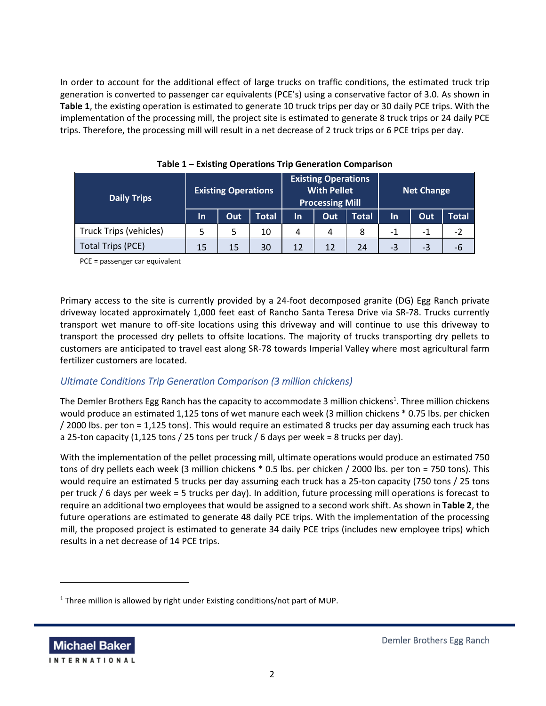In order to account for the additional effect of large trucks on traffic conditions, the estimated truck trip generation is converted to passenger car equivalents (PCE's) using a conservative factor of 3.0. As shown in **Table 1**, the existing operation is estimated to generate 10 truck trips per day or 30 daily PCE trips. With the implementation of the processing mill, the project site is estimated to generate 8 truck trips or 24 daily PCE trips. Therefore, the processing mill will result in a net decrease of 2 truck trips or 6 PCE trips per day.

| <b>Daily Trips</b>            | <b>Existing Operations</b> |     |              | <b>Existing Operations</b><br><b>With Pellet</b><br><b>Processing Mill</b> |     |              | <b>Net Change</b> |     |       |
|-------------------------------|----------------------------|-----|--------------|----------------------------------------------------------------------------|-----|--------------|-------------------|-----|-------|
|                               | In.                        | Out | <b>Total</b> | In                                                                         | Out | <b>Total</b> | $\ln$             | Out | Total |
| <b>Truck Trips (vehicles)</b> |                            |     | 10           | 4                                                                          | 4   | 8            | $-1$              | -1  | $-2$  |
| <b>Total Trips (PCE)</b>      | 15                         | 15  | 30           | 12                                                                         | 12  | 24           | -3                | -3  | -6    |

|  |  |  |  |  | Table 1 – Existing Operations Trip Generation Comparison |
|--|--|--|--|--|----------------------------------------------------------|
|--|--|--|--|--|----------------------------------------------------------|

PCE = passenger car equivalent

Primary access to the site is currently provided by a 24-foot decomposed granite (DG) Egg Ranch private driveway located approximately 1,000 feet east of Rancho Santa Teresa Drive via SR-78. Trucks currently transport wet manure to off-site locations using this driveway and will continue to use this driveway to transport the processed dry pellets to offsite locations. The majority of trucks transporting dry pellets to customers are anticipated to travel east along SR-78 towards Imperial Valley where most agricultural farm fertilizer customers are located.

# *Ultimate Conditions Trip Generation Comparison (3 million chickens)*

The Demler Brothers Egg Ranch has the capacity to accommodate 3 million chickens<sup>1</sup>. Three million chickens would produce an estimated 1,125 tons of wet manure each week (3 million chickens \* 0.75 lbs. per chicken / 2000 lbs. per ton = 1,125 tons). This would require an estimated 8 trucks per day assuming each truck has a 25-ton capacity  $(1,125 \text{ tons} / 25 \text{ tons} \text{ per truck} / 6 \text{ days} \text{ per week} = 8 \text{ trucks per day}).$ 

With the implementation of the pellet processing mill, ultimate operations would produce an estimated 750 tons of dry pellets each week (3 million chickens \* 0.5 lbs. per chicken / 2000 lbs. per ton = 750 tons). This would require an estimated 5 trucks per day assuming each truck has a 25-ton capacity (750 tons / 25 tons per truck / 6 days per week = 5 trucks per day). In addition, future processing mill operations is forecast to require an additional two employees that would be assigned to a second work shift. As shown in **Table 2**, the future operations are estimated to generate 48 daily PCE trips. With the implementation of the processing mill, the proposed project is estimated to generate 34 daily PCE trips (includes new employee trips) which results in a net decrease of 14 PCE trips.

**Michael Baker INTERNATIONAL** 

<sup>&</sup>lt;sup>1</sup> Three million is allowed by right under Existing conditions/not part of MUP.